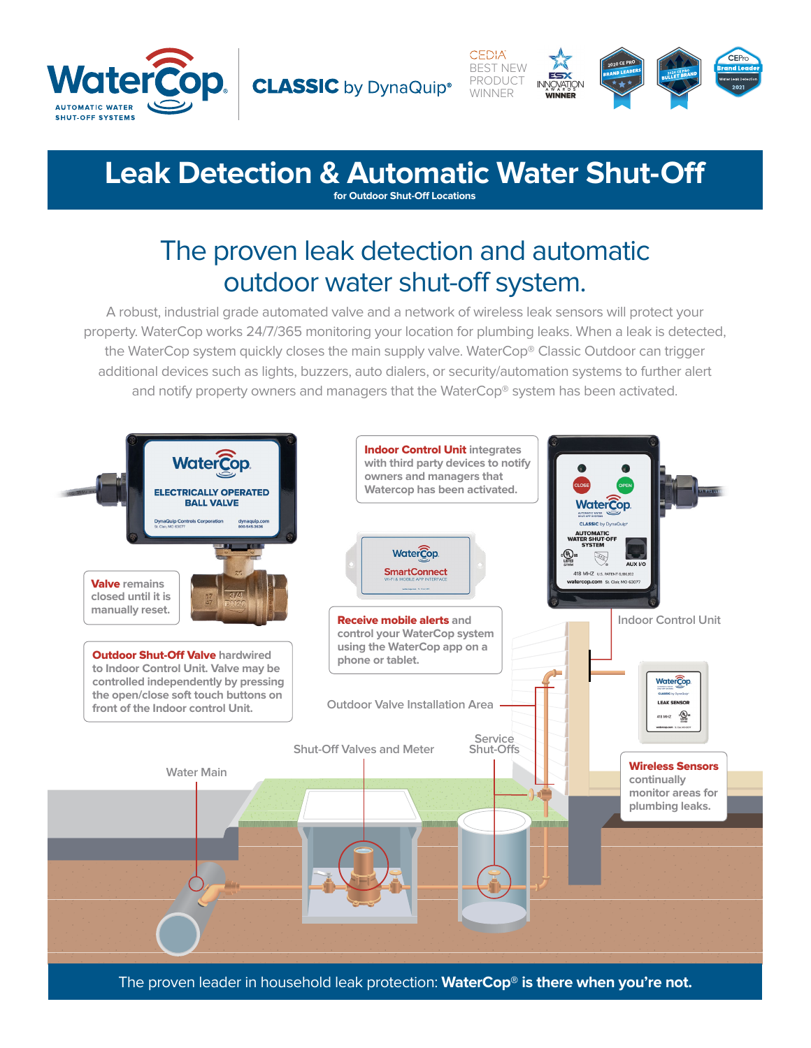



# **Leak Detection & Automatic Water Shut-Off for Outdoor Shut-Off Locations**

# The proven leak detection and automatic outdoor water shut-off system.

A robust, industrial grade automated valve and a network of wireless leak sensors will protect your property. WaterCop works 24/7/365 monitoring your location for plumbing leaks. When a leak is detected, the WaterCop system quickly closes the main supply valve. WaterCop® Classic Outdoor can trigger additional devices such as lights, buzzers, auto dialers, or security/automation systems to further alert and notify property owners and managers that the WaterCop® system has been activated.